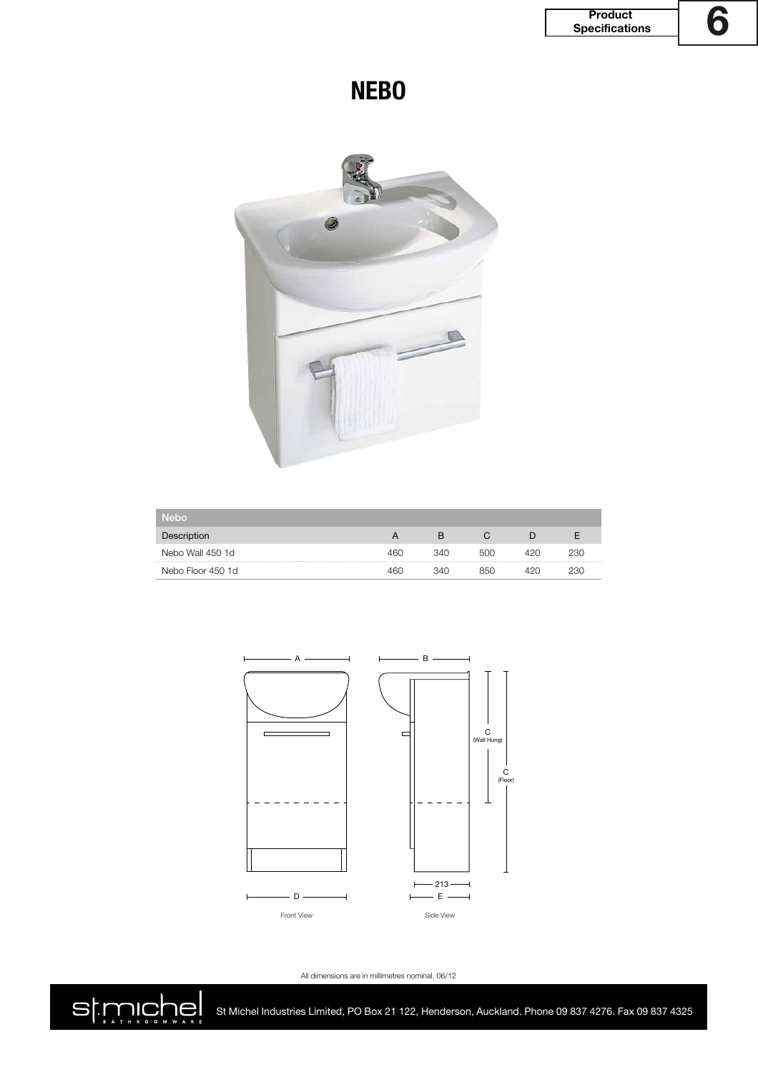**NEBO**



| <b>Nebo</b>       |     |     |     |     |     |
|-------------------|-----|-----|-----|-----|-----|
| Description       |     | B   |     |     |     |
| Nebo Wall 450 1d  | 460 | 340 | 500 | 42N | 230 |
| Nebo Floor 450 1d | 460 | 340 | 850 | 12N | 230 |



All dimensions are in millimetres nominal. 06/12



St Michel Industries Limited, PO Box 21 122, Henderson, Auckland. Phone 09 837 4276. Fax 09 837 4325